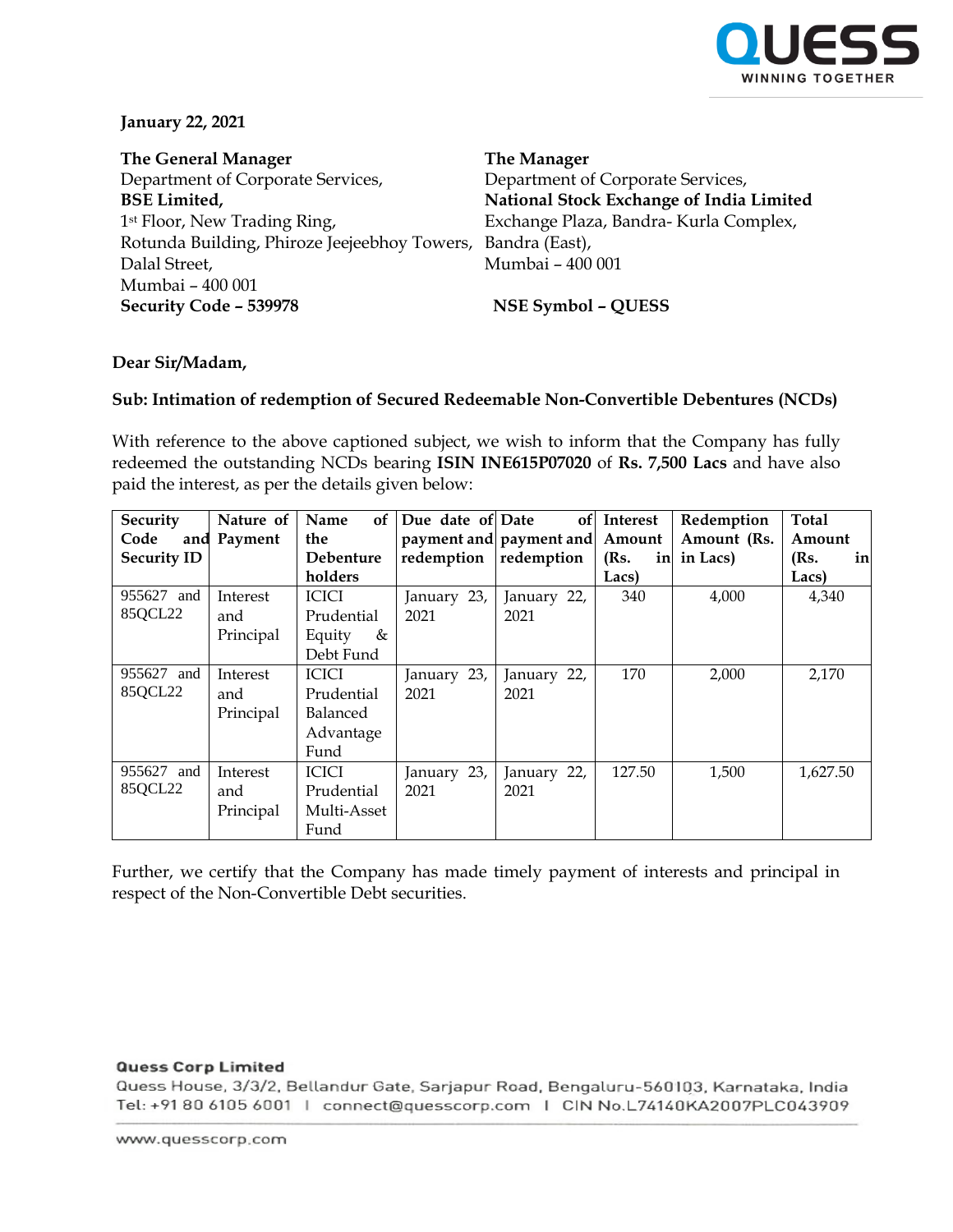

## **January 22, 2021**

**The General Manager** Department of Corporate Services, **BSE Limited,** 1st Floor, New Trading Ring, Rotunda Building, Phiroze Jeejeebhoy Towers, Dalal Street, Mumbai – 400 001 **Security Code – 539978 NSE Symbol – QUESS**

**The Manager** Department of Corporate Services, **National Stock Exchange of India Limited** Exchange Plaza, Bandra- Kurla Complex, Bandra (East), Mumbai – 400 001

## **Dear Sir/Madam,**

## **Sub: Intimation of redemption of Secured Redeemable Non-Convertible Debentures (NCDs)**

With reference to the above captioned subject, we wish to inform that the Company has fully redeemed the outstanding NCDs bearing **ISIN INE615P07020** of **Rs. 7,500 Lacs** and have also paid the interest, as per the details given below:

| Security           | Nature of | of<br>Name   | Due date of Date | of                      | Interest   | Redemption  | Total      |
|--------------------|-----------|--------------|------------------|-------------------------|------------|-------------|------------|
| Code<br>and        | Payment   | the          |                  | payment and payment and | Amount     | Amount (Rs. | Amount     |
| <b>Security ID</b> |           | Debenture    | redemption       | redemption              | (Rs.<br>in | in Lacs)    | (Rs.<br>in |
|                    |           | holders      |                  |                         | Lacs)      |             | Lacs)      |
| 955627 and         | Interest  | <b>ICICI</b> | January 23,      | January 22,             | 340        | 4,000       | 4,340      |
| 85QCL22            | and       | Prudential   | 2021             | 2021                    |            |             |            |
|                    | Principal | Equity<br>&  |                  |                         |            |             |            |
|                    |           | Debt Fund    |                  |                         |            |             |            |
| 955627 and         | Interest  | <b>ICICI</b> | January 23,      | January 22,             | 170        | 2,000       | 2,170      |
| 85QCL22            | and       | Prudential   | 2021             | 2021                    |            |             |            |
|                    | Principal | Balanced     |                  |                         |            |             |            |
|                    |           | Advantage    |                  |                         |            |             |            |
|                    |           | Fund         |                  |                         |            |             |            |
| 955627 and         | Interest  | <b>ICICI</b> | January 23,      | January 22,             | 127.50     | 1,500       | 1,627.50   |
| 85QCL22            | and       | Prudential   | 2021             | 2021                    |            |             |            |
|                    | Principal | Multi-Asset  |                  |                         |            |             |            |
|                    |           | Fund         |                  |                         |            |             |            |

Further, we certify that the Company has made timely payment of interests and principal in respect of the Non-Convertible Debt securities.

## **Quess Corp Limited**

Quess House, 3/3/2, Bellandur Gate, Sarjapur Road, Bengaluru-560103, Karnataka, India Tel: +91 80 6105 6001 | connect@quesscorp.com | CIN No.L74140KA2007PLC043909